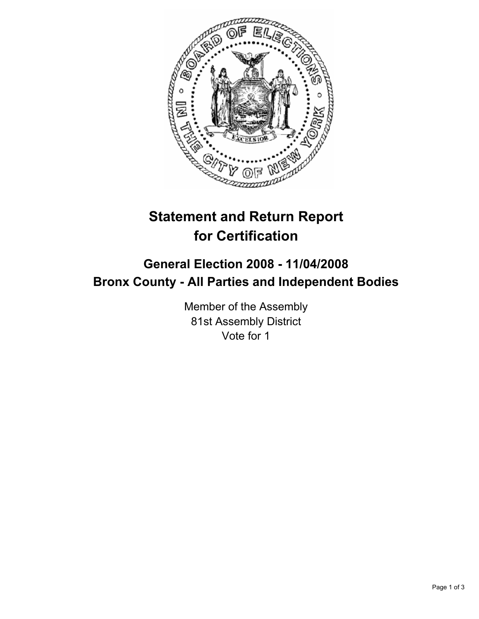

# **Statement and Return Report for Certification**

## **General Election 2008 - 11/04/2008 Bronx County - All Parties and Independent Bodies**

Member of the Assembly 81st Assembly District Vote for 1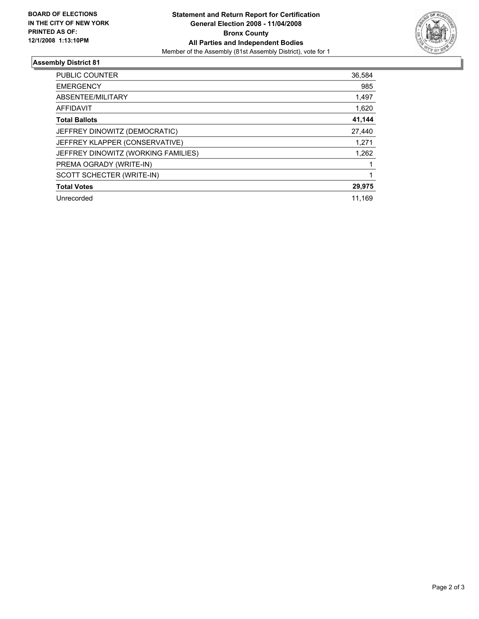

### **Assembly District 81**

| PUBLIC COUNTER                      | 36,584 |
|-------------------------------------|--------|
| <b>EMERGENCY</b>                    | 985    |
| ABSENTEE/MILITARY                   | 1,497  |
| <b>AFFIDAVIT</b>                    | 1,620  |
| <b>Total Ballots</b>                | 41,144 |
| JEFFREY DINOWITZ (DEMOCRATIC)       | 27,440 |
| JEFFREY KLAPPER (CONSERVATIVE)      | 1,271  |
| JEFFREY DINOWITZ (WORKING FAMILIES) | 1,262  |
| PREMA OGRADY (WRITE-IN)             |        |
| SCOTT SCHECTER (WRITE-IN)           |        |
| <b>Total Votes</b>                  | 29,975 |
| Unrecorded                          | 11,169 |